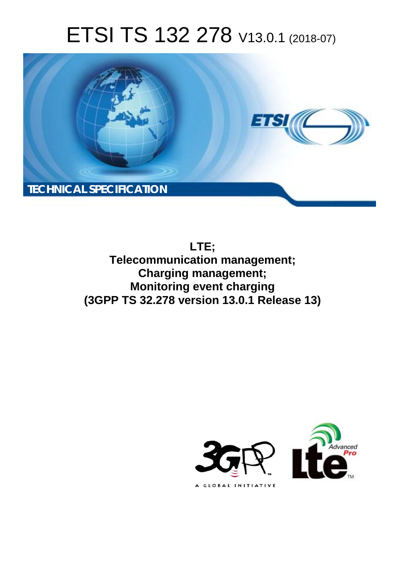# ETSI TS 132 278 V13.0.1 (2018-07)



**LTE; Telecommunication management; Charging management; Monitoring event charging (3GPP TS 32.278 version 13.0.1 Release 13)** 

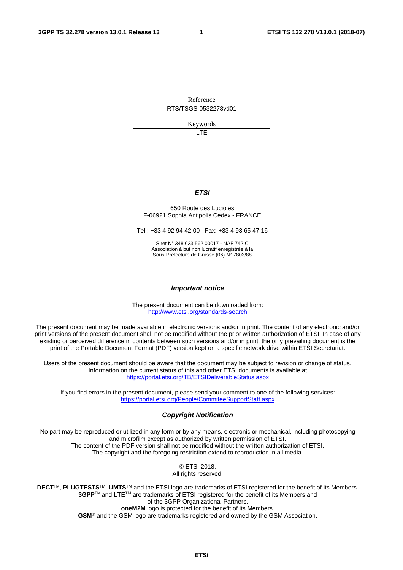Reference RTS/TSGS-0532278vd01

Keywords

LTE

#### *ETSI*

#### 650 Route des Lucioles F-06921 Sophia Antipolis Cedex - FRANCE

Tel.: +33 4 92 94 42 00 Fax: +33 4 93 65 47 16

Siret N° 348 623 562 00017 - NAF 742 C Association à but non lucratif enregistrée à la Sous-Préfecture de Grasse (06) N° 7803/88

#### *Important notice*

The present document can be downloaded from: <http://www.etsi.org/standards-search>

The present document may be made available in electronic versions and/or in print. The content of any electronic and/or print versions of the present document shall not be modified without the prior written authorization of ETSI. In case of any existing or perceived difference in contents between such versions and/or in print, the only prevailing document is the print of the Portable Document Format (PDF) version kept on a specific network drive within ETSI Secretariat.

Users of the present document should be aware that the document may be subject to revision or change of status. Information on the current status of this and other ETSI documents is available at <https://portal.etsi.org/TB/ETSIDeliverableStatus.aspx>

If you find errors in the present document, please send your comment to one of the following services: <https://portal.etsi.org/People/CommiteeSupportStaff.aspx>

#### *Copyright Notification*

No part may be reproduced or utilized in any form or by any means, electronic or mechanical, including photocopying and microfilm except as authorized by written permission of ETSI. The content of the PDF version shall not be modified without the written authorization of ETSI. The copyright and the foregoing restriction extend to reproduction in all media.

> © ETSI 2018. All rights reserved.

**DECT**TM, **PLUGTESTS**TM, **UMTS**TM and the ETSI logo are trademarks of ETSI registered for the benefit of its Members. **3GPP**TM and **LTE**TM are trademarks of ETSI registered for the benefit of its Members and of the 3GPP Organizational Partners. **oneM2M** logo is protected for the benefit of its Members.

**GSM**® and the GSM logo are trademarks registered and owned by the GSM Association.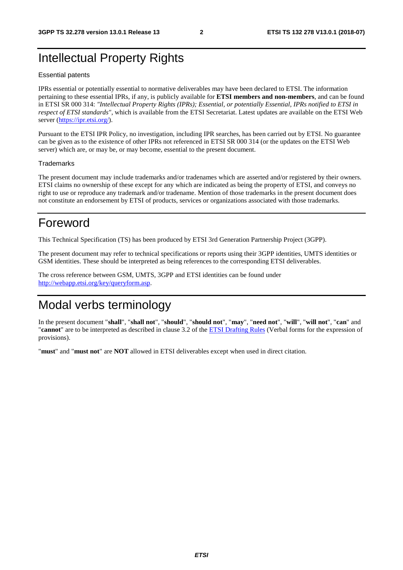# Intellectual Property Rights

#### Essential patents

IPRs essential or potentially essential to normative deliverables may have been declared to ETSI. The information pertaining to these essential IPRs, if any, is publicly available for **ETSI members and non-members**, and can be found in ETSI SR 000 314: *"Intellectual Property Rights (IPRs); Essential, or potentially Essential, IPRs notified to ETSI in respect of ETSI standards"*, which is available from the ETSI Secretariat. Latest updates are available on the ETSI Web server ([https://ipr.etsi.org/\)](https://ipr.etsi.org/).

Pursuant to the ETSI IPR Policy, no investigation, including IPR searches, has been carried out by ETSI. No guarantee can be given as to the existence of other IPRs not referenced in ETSI SR 000 314 (or the updates on the ETSI Web server) which are, or may be, or may become, essential to the present document.

#### **Trademarks**

The present document may include trademarks and/or tradenames which are asserted and/or registered by their owners. ETSI claims no ownership of these except for any which are indicated as being the property of ETSI, and conveys no right to use or reproduce any trademark and/or tradename. Mention of those trademarks in the present document does not constitute an endorsement by ETSI of products, services or organizations associated with those trademarks.

# Foreword

This Technical Specification (TS) has been produced by ETSI 3rd Generation Partnership Project (3GPP).

The present document may refer to technical specifications or reports using their 3GPP identities, UMTS identities or GSM identities. These should be interpreted as being references to the corresponding ETSI deliverables.

The cross reference between GSM, UMTS, 3GPP and ETSI identities can be found under [http://webapp.etsi.org/key/queryform.asp.](http://webapp.etsi.org/key/queryform.asp)

# Modal verbs terminology

In the present document "**shall**", "**shall not**", "**should**", "**should not**", "**may**", "**need not**", "**will**", "**will not**", "**can**" and "**cannot**" are to be interpreted as described in clause 3.2 of the [ETSI Drafting Rules](https://portal.etsi.org/Services/editHelp!/Howtostart/ETSIDraftingRules.aspx) (Verbal forms for the expression of provisions).

"**must**" and "**must not**" are **NOT** allowed in ETSI deliverables except when used in direct citation.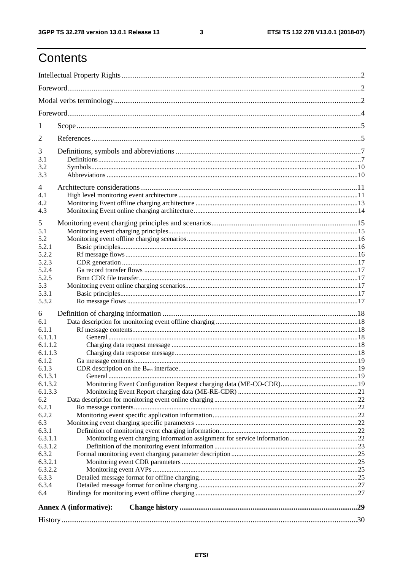$\mathbf{3}$ 

# Contents

|                | Annex A (informative): |  |  |
|----------------|------------------------|--|--|
|                |                        |  |  |
| 6.4            |                        |  |  |
| 6.3.3<br>6.3.4 |                        |  |  |
| 6.3.2.2        |                        |  |  |
| 6.3.2.1        |                        |  |  |
| 6.3.2          |                        |  |  |
| 6.3.1.2        |                        |  |  |
| 6.3.1.1        |                        |  |  |
| 6.3.1          |                        |  |  |
| 6.3            |                        |  |  |
| 6.2.2          |                        |  |  |
| 6.2.1          |                        |  |  |
| 6.2            |                        |  |  |
| 6.1.3.3        |                        |  |  |
| 6.1.3.2        |                        |  |  |
| 6.1.3.1        |                        |  |  |
| 6.1.3          |                        |  |  |
| 6.1.2          |                        |  |  |
| 6.1.1.3        |                        |  |  |
| 6.1.1.2        |                        |  |  |
| 6.1.1.1        |                        |  |  |
| 6.1.1          |                        |  |  |
| 6.1            |                        |  |  |
| 6              |                        |  |  |
|                |                        |  |  |
| 5.3.1<br>5.3.2 |                        |  |  |
| 5.3            |                        |  |  |
| 5.2.5          |                        |  |  |
| 5.2.4          |                        |  |  |
| 5.2.3          |                        |  |  |
| 5.2.2          |                        |  |  |
| 5.2.1          |                        |  |  |
| 5.2            |                        |  |  |
| 5.1            |                        |  |  |
| 5              |                        |  |  |
|                |                        |  |  |
| 4.3            |                        |  |  |
| 4.2            |                        |  |  |
| 4.1            |                        |  |  |
| $\overline{4}$ |                        |  |  |
| 3.3            |                        |  |  |
| 3.2            |                        |  |  |
| 3.1            |                        |  |  |
| 3              |                        |  |  |
| 2              |                        |  |  |
|                |                        |  |  |
| 1              |                        |  |  |
|                |                        |  |  |
|                |                        |  |  |
|                |                        |  |  |
|                |                        |  |  |
|                |                        |  |  |
|                |                        |  |  |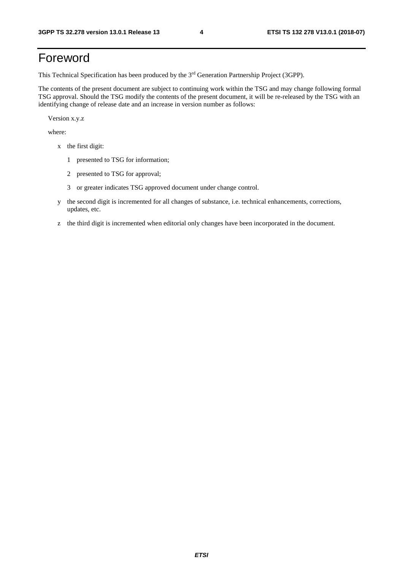# Foreword

This Technical Specification has been produced by the 3rd Generation Partnership Project (3GPP).

The contents of the present document are subject to continuing work within the TSG and may change following formal TSG approval. Should the TSG modify the contents of the present document, it will be re-released by the TSG with an identifying change of release date and an increase in version number as follows:

Version x.y.z

where:

- x the first digit:
	- 1 presented to TSG for information;
	- 2 presented to TSG for approval;
	- 3 or greater indicates TSG approved document under change control.
- y the second digit is incremented for all changes of substance, i.e. technical enhancements, corrections, updates, etc.
- z the third digit is incremented when editorial only changes have been incorporated in the document.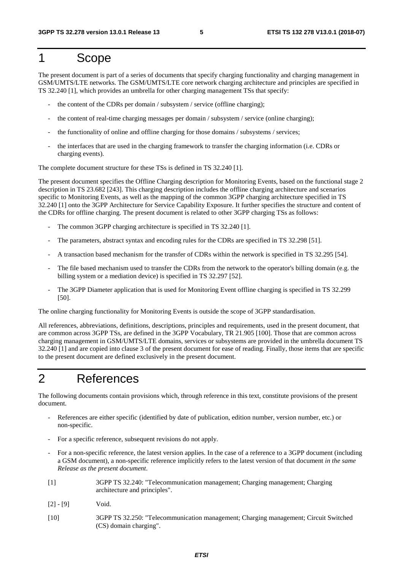# 1 Scope

The present document is part of a series of documents that specify charging functionality and charging management in GSM/UMTS/LTE networks. The GSM/UMTS/LTE core network charging architecture and principles are specified in TS 32.240 [1], which provides an umbrella for other charging management TSs that specify:

- the content of the CDRs per domain / subsystem / service (offline charging);
- the content of real-time charging messages per domain / subsystem / service (online charging);
- the functionality of online and offline charging for those domains / subsystems / services;
- the interfaces that are used in the charging framework to transfer the charging information (i.e. CDRs or charging events).

The complete document structure for these TSs is defined in TS 32.240 [1].

The present document specifies the Offline Charging description for Monitoring Events, based on the functional stage 2 description in TS 23.682 [243]. This charging description includes the offline charging architecture and scenarios specific to Monitoring Events, as well as the mapping of the common 3GPP charging architecture specified in TS 32.240 [1] onto the 3GPP Architecture for Service Capability Exposure. It further specifies the structure and content of the CDRs for offline charging. The present document is related to other 3GPP charging TSs as follows:

- The common 3GPP charging architecture is specified in TS 32.240 [1].
- The parameters, abstract syntax and encoding rules for the CDRs are specified in TS 32.298 [51].
- A transaction based mechanism for the transfer of CDRs within the network is specified in TS 32.295 [54].
- The file based mechanism used to transfer the CDRs from the network to the operator's billing domain (e.g. the billing system or a mediation device) is specified in TS 32.297 [52].
- The 3GPP Diameter application that is used for Monitoring Event offline charging is specified in TS 32.299 [50].

The online charging functionality for Monitoring Events is outside the scope of 3GPP standardisation.

All references, abbreviations, definitions, descriptions, principles and requirements, used in the present document, that are common across 3GPP TSs, are defined in the 3GPP Vocabulary, TR 21.905 [100]. Those that are common across charging management in GSM/UMTS/LTE domains, services or subsystems are provided in the umbrella document TS 32.240 [1] and are copied into clause 3 of the present document for ease of reading. Finally, those items that are specific to the present document are defined exclusively in the present document.

# 2 References

The following documents contain provisions which, through reference in this text, constitute provisions of the present document.

- References are either specific (identified by date of publication, edition number, version number, etc.) or non-specific.
- For a specific reference, subsequent revisions do not apply.
- For a non-specific reference, the latest version applies. In the case of a reference to a 3GPP document (including a GSM document), a non-specific reference implicitly refers to the latest version of that document *in the same Release as the present document*.
- [1] 3GPP TS 32.240: "Telecommunication management; Charging management; Charging architecture and principles".
- [2] [9] Void.
- [10] 3GPP TS 32.250: "Telecommunication management; Charging management; Circuit Switched (CS) domain charging".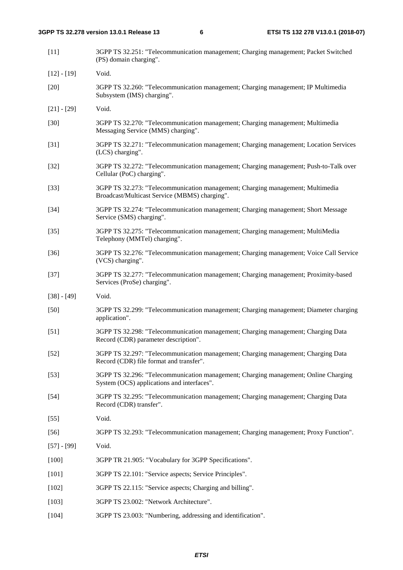| $[11]$        | 3GPP TS 32.251: "Telecommunication management; Charging management; Packet Switched<br>(PS) domain charging".                     |
|---------------|-----------------------------------------------------------------------------------------------------------------------------------|
| $[12] - [19]$ | Void.                                                                                                                             |
| $[20]$        | 3GPP TS 32.260: "Telecommunication management; Charging management; IP Multimedia<br>Subsystem (IMS) charging".                   |
| $[21] - [29]$ | Void.                                                                                                                             |
| $[30]$        | 3GPP TS 32.270: "Telecommunication management; Charging management; Multimedia<br>Messaging Service (MMS) charging".              |
| $[31]$        | 3GPP TS 32.271: "Telecommunication management; Charging management; Location Services<br>(LCS) charging".                         |
| $[32]$        | 3GPP TS 32.272: "Telecommunication management; Charging management; Push-to-Talk over<br>Cellular (PoC) charging".                |
| $[33]$        | 3GPP TS 32.273: "Telecommunication management; Charging management; Multimedia<br>Broadcast/Multicast Service (MBMS) charging".   |
| $[34]$        | 3GPP TS 32.274: "Telecommunication management; Charging management; Short Message<br>Service (SMS) charging".                     |
| $[35]$        | 3GPP TS 32.275: "Telecommunication management; Charging management; MultiMedia<br>Telephony (MMTel) charging".                    |
| $[36]$        | 3GPP TS 32.276: "Telecommunication management; Charging management; Voice Call Service<br>(VCS) charging".                        |
| $[37]$        | 3GPP TS 32.277: "Telecommunication management; Charging management; Proximity-based<br>Services (ProSe) charging".                |
| $[38] - [49]$ | Void.                                                                                                                             |
| $[50]$        | 3GPP TS 32.299: "Telecommunication management; Charging management; Diameter charging<br>application".                            |
| $[51]$        | 3GPP TS 32.298: "Telecommunication management; Charging management; Charging Data<br>Record (CDR) parameter description".         |
| $[52]$        | 3GPP TS 32.297: "Telecommunication management; Charging management; Charging Data<br>Record (CDR) file format and transfer".      |
| $[53]$        | 3GPP TS 32.296: "Telecommunication management; Charging management; Online Charging<br>System (OCS) applications and interfaces". |
| $[54]$        | 3GPP TS 32.295: "Telecommunication management; Charging management; Charging Data<br>Record (CDR) transfer".                      |
| $[55]$        | Void.                                                                                                                             |
| $[56]$        | 3GPP TS 32.293: "Telecommunication management; Charging management; Proxy Function".                                              |
| $[57] - [99]$ | Void.                                                                                                                             |
| $[100]$       | 3GPP TR 21.905: "Vocabulary for 3GPP Specifications".                                                                             |
| $[101]$       | 3GPP TS 22.101: "Service aspects; Service Principles".                                                                            |
| $[102]$       | 3GPP TS 22.115: "Service aspects; Charging and billing".                                                                          |
| $[103]$       | 3GPP TS 23.002: "Network Architecture".                                                                                           |
| [104]         | 3GPP TS 23.003: "Numbering, addressing and identification".                                                                       |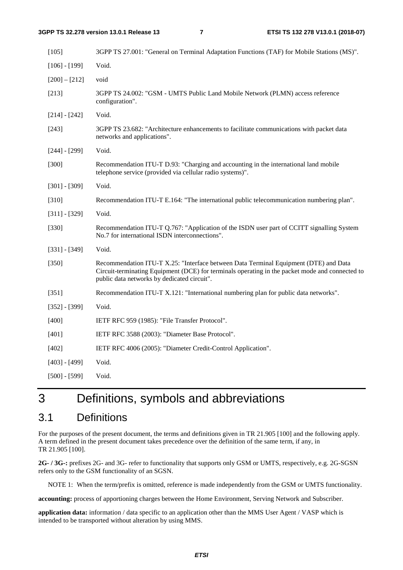| [105]           | 3GPP TS 27.001: "General on Terminal Adaptation Functions (TAF) for Mobile Stations (MS)".                                                                                                                                             |
|-----------------|----------------------------------------------------------------------------------------------------------------------------------------------------------------------------------------------------------------------------------------|
| $[106] - [199]$ | Void.                                                                                                                                                                                                                                  |
| $[200] - [212]$ | void                                                                                                                                                                                                                                   |
| [213]           | 3GPP TS 24.002: "GSM - UMTS Public Land Mobile Network (PLMN) access reference<br>configuration".                                                                                                                                      |
| $[214] - [242]$ | Void.                                                                                                                                                                                                                                  |
| $[243]$         | 3GPP TS 23.682: "Architecture enhancements to facilitate communications with packet data<br>networks and applications".                                                                                                                |
| $[244] - [299]$ | Void.                                                                                                                                                                                                                                  |
| $[300]$         | Recommendation ITU-T D.93: "Charging and accounting in the international land mobile<br>telephone service (provided via cellular radio systems)".                                                                                      |
| $[301] - [309]$ | Void.                                                                                                                                                                                                                                  |
| $[310]$         | Recommendation ITU-T E.164: "The international public telecommunication numbering plan".                                                                                                                                               |
| $[311] - [329]$ | Void.                                                                                                                                                                                                                                  |
| $[330]$         | Recommendation ITU-T Q.767: "Application of the ISDN user part of CCITT signalling System<br>No.7 for international ISDN interconnections".                                                                                            |
| $[331] - [349]$ | Void.                                                                                                                                                                                                                                  |
| $[350]$         | Recommendation ITU-T X.25: "Interface between Data Terminal Equipment (DTE) and Data<br>Circuit-terminating Equipment (DCE) for terminals operating in the packet mode and connected to<br>public data networks by dedicated circuit". |
| $[351]$         | Recommendation ITU-T X.121: "International numbering plan for public data networks".                                                                                                                                                   |
| $[352] - [399]$ | Void.                                                                                                                                                                                                                                  |
| $[400]$         | IETF RFC 959 (1985): "File Transfer Protocol".                                                                                                                                                                                         |
| $[401]$         | IETF RFC 3588 (2003): "Diameter Base Protocol".                                                                                                                                                                                        |
| [402]           | IETF RFC 4006 (2005): "Diameter Credit-Control Application".                                                                                                                                                                           |
| $[403] - [499]$ | Void.                                                                                                                                                                                                                                  |
| $[500] - [599]$ | Void.                                                                                                                                                                                                                                  |

# 3 Definitions, symbols and abbreviations

# 3.1 Definitions

For the purposes of the present document, the terms and definitions given in TR 21.905 [100] and the following apply. A term defined in the present document takes precedence over the definition of the same term, if any, in TR 21.905 [100].

**2G- / 3G-:** prefixes 2G- and 3G- refer to functionality that supports only GSM or UMTS, respectively, e.g. 2G-SGSN refers only to the GSM functionality of an SGSN.

NOTE 1: When the term/prefix is omitted, reference is made independently from the GSM or UMTS functionality.

**accounting:** process of apportioning charges between the Home Environment, Serving Network and Subscriber.

**application data:** information / data specific to an application other than the MMS User Agent / VASP which is intended to be transported without alteration by using MMS.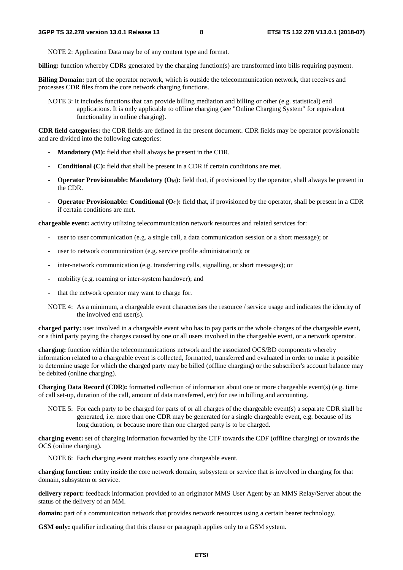NOTE 2: Application Data may be of any content type and format.

**billing:** function whereby CDRs generated by the charging function(s) are transformed into bills requiring payment.

**Billing Domain:** part of the operator network, which is outside the telecommunication network, that receives and processes CDR files from the core network charging functions.

NOTE 3: It includes functions that can provide billing mediation and billing or other (e.g. statistical) end applications. It is only applicable to offline charging (see "Online Charging System" for equivalent functionality in online charging).

**CDR field categories:** the CDR fields are defined in the present document. CDR fields may be operator provisionable and are divided into the following categories:

- **Mandatory (M):** field that shall always be present in the CDR.
- **Conditional (C):** field that shall be present in a CDR if certain conditions are met.
- **Operator Provisionable: Mandatory**  $(O_M)$ **:** field that, if provisioned by the operator, shall always be present in the CDR.
- **Operator Provisionable: Conditional (OC):** field that, if provisioned by the operator, shall be present in a CDR if certain conditions are met.

**chargeable event:** activity utilizing telecommunication network resources and related services for:

- user to user communication (e.g. a single call, a data communication session or a short message); or
- user to network communication (e.g. service profile administration); or
- inter-network communication (e.g. transferring calls, signalling, or short messages); or
- mobility (e.g. roaming or inter-system handover); and
- that the network operator may want to charge for.
- NOTE 4: As a minimum, a chargeable event characterises the resource / service usage and indicates the identity of the involved end user(s).

**charged party:** user involved in a chargeable event who has to pay parts or the whole charges of the chargeable event, or a third party paying the charges caused by one or all users involved in the chargeable event, or a network operator.

**charging:** function within the telecommunications network and the associated OCS/BD components whereby information related to a chargeable event is collected, formatted, transferred and evaluated in order to make it possible to determine usage for which the charged party may be billed (offline charging) or the subscriber's account balance may be debited (online charging).

**Charging Data Record (CDR):** formatted collection of information about one or more chargeable event(s) (e.g. time of call set-up, duration of the call, amount of data transferred, etc) for use in billing and accounting.

NOTE 5: For each party to be charged for parts of or all charges of the chargeable event(s) a separate CDR shall be generated, i.e. more than one CDR may be generated for a single chargeable event, e.g. because of its long duration, or because more than one charged party is to be charged.

**charging event:** set of charging information forwarded by the CTF towards the CDF (offline charging) or towards the OCS (online charging).

NOTE 6: Each charging event matches exactly one chargeable event.

**charging function:** entity inside the core network domain, subsystem or service that is involved in charging for that domain, subsystem or service.

**delivery report:** feedback information provided to an originator MMS User Agent by an MMS Relay/Server about the status of the delivery of an MM.

**domain:** part of a communication network that provides network resources using a certain bearer technology.

**GSM only:** qualifier indicating that this clause or paragraph applies only to a GSM system.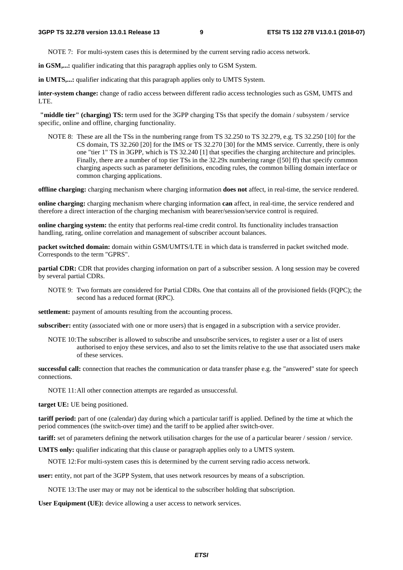NOTE 7: For multi-system cases this is determined by the current serving radio access network.

**in GSM,...:** qualifier indicating that this paragraph applies only to GSM System.

**in UMTS,...:** qualifier indicating that this paragraph applies only to UMTS System.

**inter-system change:** change of radio access between different radio access technologies such as GSM, UMTS and LTE.

**"middle tier" (charging) TS:** term used for the 3GPP charging TSs that specify the domain / subsystem / service specific, online and offline, charging functionality.

NOTE 8: These are all the TSs in the numbering range from TS 32.250 to TS 32.279, e.g. TS 32.250 [10] for the CS domain, TS 32.260 [20] for the IMS or TS 32.270 [30] for the MMS service. Currently, there is only one "tier 1" TS in 3GPP, which is TS 32.240 [1] that specifies the charging architecture and principles. Finally, there are a number of top tier TSs in the 32.29x numbering range ([50] ff) that specify common charging aspects such as parameter definitions, encoding rules, the common billing domain interface or common charging applications.

**offline charging:** charging mechanism where charging information **does not** affect, in real-time, the service rendered.

**online charging:** charging mechanism where charging information **can** affect, in real-time, the service rendered and therefore a direct interaction of the charging mechanism with bearer/session/service control is required.

**online charging system:** the entity that performs real-time credit control. Its functionality includes transaction handling, rating, online correlation and management of subscriber account balances.

**packet switched domain:** domain within GSM/UMTS/LTE in which data is transferred in packet switched mode. Corresponds to the term "GPRS".

**partial CDR:** CDR that provides charging information on part of a subscriber session. A long session may be covered by several partial CDRs.

NOTE 9: Two formats are considered for Partial CDRs. One that contains all of the provisioned fields (FQPC); the second has a reduced format (RPC).

**settlement:** payment of amounts resulting from the accounting process.

**subscriber:** entity (associated with one or more users) that is engaged in a subscription with a service provider.

NOTE 10: The subscriber is allowed to subscribe and unsubscribe services, to register a user or a list of users authorised to enjoy these services, and also to set the limits relative to the use that associated users make of these services.

**successful call:** connection that reaches the communication or data transfer phase e.g. the "answered" state for speech connections.

NOTE 11: All other connection attempts are regarded as unsuccessful.

**target UE:** UE being positioned.

**tariff period:** part of one (calendar) day during which a particular tariff is applied. Defined by the time at which the period commences (the switch-over time) and the tariff to be applied after switch-over.

**tariff:** set of parameters defining the network utilisation charges for the use of a particular bearer / session / service.

**UMTS only:** qualifier indicating that this clause or paragraph applies only to a UMTS system.

NOTE 12: For multi-system cases this is determined by the current serving radio access network.

**user:** entity, not part of the 3GPP System, that uses network resources by means of a subscription.

NOTE 13: The user may or may not be identical to the subscriber holding that subscription.

**User Equipment (UE):** device allowing a user access to network services.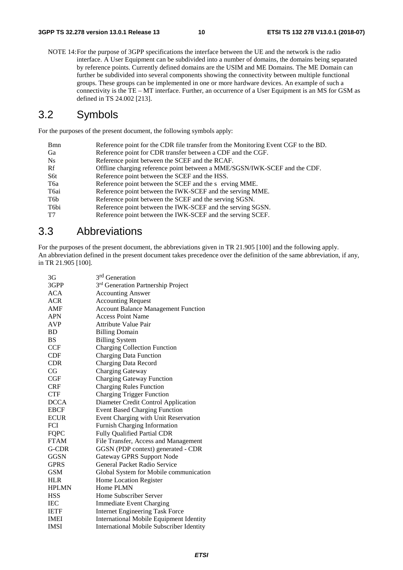NOTE 14: For the purpose of 3GPP specifications the interface between the UE and the network is the radio interface. A User Equipment can be subdivided into a number of domains, the domains being separated by reference points. Currently defined domains are the USIM and ME Domains. The ME Domain can further be subdivided into several components showing the connectivity between multiple functional groups. These groups can be implemented in one or more hardware devices. An example of such a connectivity is the TE – MT interface. Further, an occurrence of a User Equipment is an MS for GSM as defined in TS 24.002 [213].

# 3.2 Symbols

For the purposes of the present document, the following symbols apply:

| Reference point for the CDR file transfer from the Monitoring Event CGF to the BD. |
|------------------------------------------------------------------------------------|
| Reference point for CDR transfer between a CDF and the CGF.                        |
| Reference point between the SCEF and the RCAF.                                     |
| Offline charging reference point between a MME/SGSN/IWK-SCEF and the CDF.          |
| Reference point between the SCEF and the HSS.                                      |
| Reference point between the SCEF and the s erving MME.                             |
| Reference point between the IWK-SCEF and the serving MME.                          |
| Reference point between the SCEF and the serving SGSN.                             |
| Reference point between the IWK-SCEF and the serving SGSN.                         |
| Reference point between the IWK-SCEF and the serving SCEF.                         |
|                                                                                    |

# 3.3 Abbreviations

For the purposes of the present document, the abbreviations given in TR 21.905 [100] and the following apply. An abbreviation defined in the present document takes precedence over the definition of the same abbreviation, if any, in TR 21.905 [100].

| 3G           | 3 <sup>rd</sup> Generation                      |
|--------------|-------------------------------------------------|
| 3GPP         | 3rd Generation Partnership Project              |
| <b>ACA</b>   | <b>Accounting Answer</b>                        |
| <b>ACR</b>   | <b>Accounting Request</b>                       |
| AMF          | <b>Account Balance Management Function</b>      |
| <b>APN</b>   | <b>Access Point Name</b>                        |
| <b>AVP</b>   | Attribute Value Pair                            |
| <b>BD</b>    | <b>Billing Domain</b>                           |
| BS           | <b>Billing System</b>                           |
| <b>CCF</b>   | <b>Charging Collection Function</b>             |
| <b>CDF</b>   | <b>Charging Data Function</b>                   |
| <b>CDR</b>   | <b>Charging Data Record</b>                     |
| CG           | Charging Gateway                                |
| CGF          | <b>Charging Gateway Function</b>                |
| <b>CRF</b>   | <b>Charging Rules Function</b>                  |
| <b>CTF</b>   | <b>Charging Trigger Function</b>                |
| <b>DCCA</b>  | Diameter Credit Control Application             |
| <b>EBCF</b>  | <b>Event Based Charging Function</b>            |
| <b>ECUR</b>  | Event Charging with Unit Reservation            |
| <b>FCI</b>   | Furnish Charging Information                    |
| <b>FQPC</b>  | <b>Fully Qualified Partial CDR</b>              |
| <b>FTAM</b>  | File Transfer, Access and Management            |
| G-CDR        | GGSN (PDP context) generated - CDR              |
| <b>GGSN</b>  | Gateway GPRS Support Node                       |
| <b>GPRS</b>  | General Packet Radio Service                    |
| <b>GSM</b>   | Global System for Mobile communication          |
| <b>HLR</b>   | Home Location Register                          |
| <b>HPLMN</b> | Home PLMN                                       |
| <b>HSS</b>   | Home Subscriber Server                          |
| <b>IEC</b>   | <b>Immediate Event Charging</b>                 |
| <b>IETF</b>  | <b>Internet Engineering Task Force</b>          |
| <b>IMEI</b>  | International Mobile Equipment Identity         |
| <b>IMSI</b>  | <b>International Mobile Subscriber Identity</b> |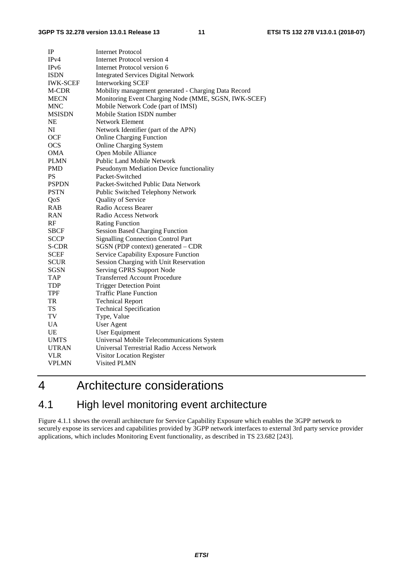| IP                | <b>Internet Protocol</b>                             |
|-------------------|------------------------------------------------------|
| IPv4              | <b>Internet Protocol version 4</b>                   |
| IP <sub>v</sub> 6 | Internet Protocol version 6                          |
| <b>ISDN</b>       | <b>Integrated Services Digital Network</b>           |
| <b>IWK-SCEF</b>   | <b>Interworking SCEF</b>                             |
| M-CDR             | Mobility management generated - Charging Data Record |
| <b>MECN</b>       | Monitoring Event Charging Node (MME, SGSN, IWK-SCEF) |
| <b>MNC</b>        | Mobile Network Code (part of IMSI)                   |
| <b>MSISDN</b>     | Mobile Station ISDN number                           |
| NE                | Network Element                                      |
| NI                | Network Identifier (part of the APN)                 |
| <b>OCF</b>        | <b>Online Charging Function</b>                      |
| <b>OCS</b>        | <b>Online Charging System</b>                        |
| <b>OMA</b>        | Open Mobile Alliance                                 |
| <b>PLMN</b>       | Public Land Mobile Network                           |
| <b>PMD</b>        | Pseudonym Mediation Device functionality             |
| PS                | Packet-Switched                                      |
| <b>PSPDN</b>      | Packet-Switched Public Data Network                  |
| <b>PSTN</b>       | Public Switched Telephony Network                    |
| QoS               | Quality of Service                                   |
| RAB               | Radio Access Bearer                                  |
| <b>RAN</b>        | Radio Access Network                                 |
| RF                | <b>Rating Function</b>                               |
| <b>SBCF</b>       | <b>Session Based Charging Function</b>               |
| <b>SCCP</b>       | <b>Signalling Connection Control Part</b>            |
| S-CDR             | SGSN (PDP context) generated - CDR                   |
| <b>SCEF</b>       | Service Capability Exposure Function                 |
| <b>SCUR</b>       | Session Charging with Unit Reservation               |
| <b>SGSN</b>       | Serving GPRS Support Node                            |
| <b>TAP</b>        | <b>Transferred Account Procedure</b>                 |
| <b>TDP</b>        | <b>Trigger Detection Point</b>                       |
| TPF               | Traffic Plane Function                               |
| TR                | <b>Technical Report</b>                              |
| <b>TS</b>         | <b>Technical Specification</b>                       |
| TV                | Type, Value                                          |
| <b>UA</b>         | <b>User Agent</b>                                    |
| <b>UE</b>         | <b>User Equipment</b>                                |
| <b>UMTS</b>       | Universal Mobile Telecommunications System           |
| <b>UTRAN</b>      | Universal Terrestrial Radio Access Network           |
| <b>VLR</b>        | Visitor Location Register                            |
| VPLMN             | Visited PLMN                                         |

# 4 Architecture considerations

# 4.1 High level monitoring event architecture

Figure 4.1.1 shows the overall architecture for Service Capability Exposure which enables the 3GPP network to securely expose its services and capabilities provided by 3GPP network interfaces to external 3rd party service provider applications, which includes Monitoring Event functionality, as described in TS 23.682 [243].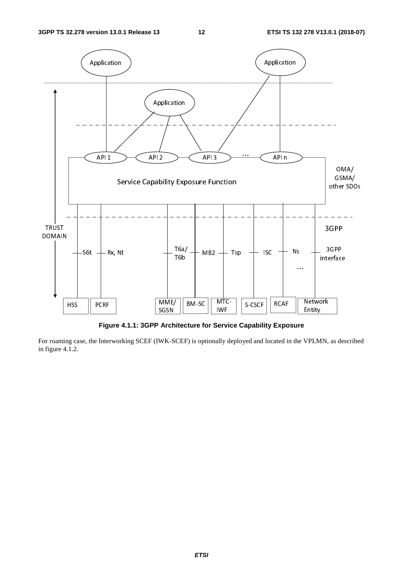

**Figure 4.1.1: 3GPP Architecture for Service Capability Exposure** 

For roaming case, the Interworking SCEF (IWK-SCEF) is optionally deployed and located in the VPLMN, as described in figure 4.1.2.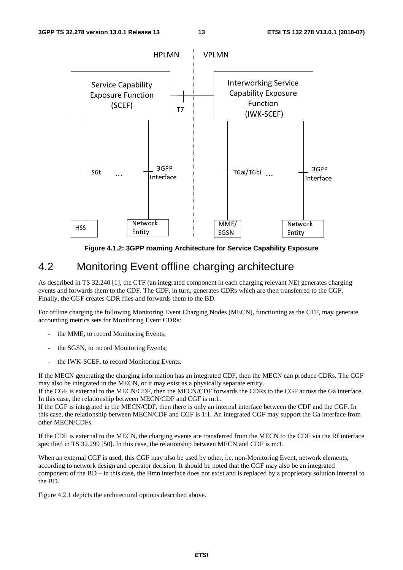

**Figure 4.1.2: 3GPP roaming Architecture for Service Capability Exposure** 

# 4.2 Monitoring Event offline charging architecture

As described in TS 32.240 [1], the CTF (an integrated component in each charging relevant NE) generates charging events and forwards them to the CDF. The CDF, in turn, generates CDRs which are then transferred to the CGF. Finally, the CGF creates CDR files and forwards them to the BD.

For offline charging the following Monitoring Event Charging Nodes (MECN), functioning as the CTF, may generate accounting metrics sets for Monitoring Event CDRs:

- the MME, to record Monitoring Events;
- the SGSN, to record Monitoring Events;
- the IWK-SCEF, to record Monitoring Events.

If the MECN generating the charging information has an integrated CDF, then the MECN can produce CDRs. The CGF may also be integrated in the MECN, or it may exist as a physically separate entity.

If the CGF is external to the MECN/CDF, then the MECN/CDF forwards the CDRs to the CGF across the Ga interface. In this case, the relationship between MECN/CDF and CGF is m:1.

If the CGF is integrated in the MECN/CDF, then there is only an internal interface between the CDF and the CGF. In this case, the relationship between MECN/CDF and CGF is 1:1. An integrated CGF may support the Ga interface from other MECN/CDFs.

If the CDF is external to the MECN, the charging events are transferred from the MECN to the CDF via the Rf interface specified in TS 32.299 [50]. In this case, the relationship between MECN and CDF is m:1.

When an external CGF is used, this CGF may also be used by other, i.e. non-Monitoring Event, network elements, according to network design and operator decision. It should be noted that the CGF may also be an integrated component of the BD – in this case, the Bmn interface does not exist and is replaced by a proprietary solution internal to the BD.

Figure 4.2.1 depicts the architectural options described above.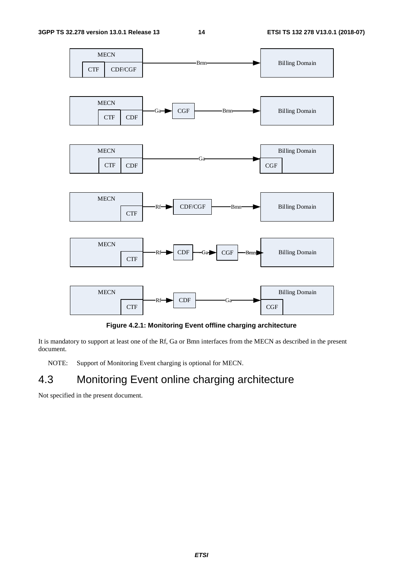

**Figure 4.2.1: Monitoring Event offline charging architecture** 

It is mandatory to support at least one of the Rf, Ga or Bmn interfaces from the MECN as described in the present document.

NOTE: Support of Monitoring Event charging is optional for MECN.

# 4.3 Monitoring Event online charging architecture

Not specified in the present document.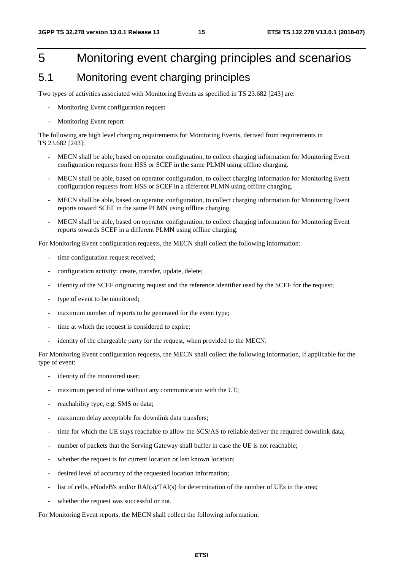# 5 Monitoring event charging principles and scenarios

# 5.1 Monitoring event charging principles

Two types of activities associated with Monitoring Events as specified in TS 23.682 [243] are:

- Monitoring Event configuration request
- Monitoring Event report

The following are high level charging requirements for Monitoring Events, derived from requirements in TS 23.682 [243]:

- MECN shall be able, based on operator configuration, to collect charging information for Monitoring Event configuration requests from HSS or SCEF in the same PLMN using offline charging.
- MECN shall be able, based on operator configuration, to collect charging information for Monitoring Event configuration requests from HSS or SCEF in a different PLMN using offline charging.
- MECN shall be able, based on operator configuration, to collect charging information for Monitoring Event reports toward SCEF in the same PLMN using offline charging.
- MECN shall be able, based on operator configuration, to collect charging information for Monitoring Event reports towards SCEF in a different PLMN using offline charging.

For Monitoring Event configuration requests, the MECN shall collect the following information:

- time configuration request received;
- configuration activity: create, transfer, update, delete;
- identity of the SCEF originating request and the reference identifier used by the SCEF for the request;
- type of event to be monitored;
- maximum number of reports to be generated for the event type;
- time at which the request is considered to expire;
- identity of the chargeable party for the request, when provided to the MECN.

For Monitoring Event configuration requests, the MECN shall collect the following information, if applicable for the type of event:

- identity of the monitored user;
- maximum period of time without any communication with the UE;
- reachability type, e.g. SMS or data;
- maximum delay acceptable for downlink data transfers;
- time for which the UE stays reachable to allow the SCS/AS to reliable deliver the required downlink data;
- number of packets that the Serving Gateway shall buffer in case the UE is not reachable;
- whether the request is for current location or last known location;
- desired level of accuracy of the requested location information;
- list of cells, eNodeB's and/or RAI(s)/TAI(s) for determination of the number of UEs in the area;
- whether the request was successful or not.

For Monitoring Event reports, the MECN shall collect the following information: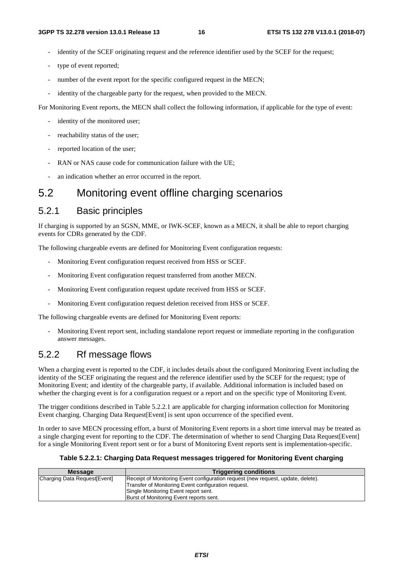- identity of the SCEF originating request and the reference identifier used by the SCEF for the request;
- type of event reported;
- number of the event report for the specific configured request in the MECN;
- identity of the chargeable party for the request, when provided to the MECN.

For Monitoring Event reports, the MECN shall collect the following information, if applicable for the type of event:

- identity of the monitored user;
- reachability status of the user;
- reported location of the user;
- RAN or NAS cause code for communication failure with the UE;
- an indication whether an error occurred in the report.

# 5.2 Monitoring event offline charging scenarios

#### 5.2.1 Basic principles

If charging is supported by an SGSN, MME, or IWK-SCEF, known as a MECN, it shall be able to report charging events for CDRs generated by the CDF.

The following chargeable events are defined for Monitoring Event configuration requests:

- Monitoring Event configuration request received from HSS or SCEF.
- Monitoring Event configuration request transferred from another MECN.
- Monitoring Event configuration request update received from HSS or SCEF.
- Monitoring Event configuration request deletion received from HSS or SCEF.

The following chargeable events are defined for Monitoring Event reports:

- Monitoring Event report sent, including standalone report request or immediate reporting in the configuration answer messages.

# 5.2.2 Rf message flows

When a charging event is reported to the CDF, it includes details about the configured Monitoring Event including the identity of the SCEF originating the request and the reference identifier used by the SCEF for the request; type of Monitoring Event; and identity of the chargeable party, if available. Additional information is included based on whether the charging event is for a configuration request or a report and on the specific type of Monitoring Event.

The trigger conditions described in Table 5.2.2.1 are applicable for charging information collection for Monitoring Event charging. Charging Data Request[Event] is sent upon occurrence of the specified event.

In order to save MECN processing effort, a burst of Monitoring Event reports in a short time interval may be treated as a single charging event for reporting to the CDF. The determination of whether to send Charging Data Request[Event] for a single Monitoring Event report sent or for a burst of Monitoring Event reports sent is implementation-specific.

#### **Table 5.2.2.1: Charging Data Request messages triggered for Monitoring Event charging**

| <b>Message</b>                | <b>Triggering conditions</b>                                                     |  |  |
|-------------------------------|----------------------------------------------------------------------------------|--|--|
| Charging Data Request [Event] | Receipt of Monitoring Event configuration request (new request, update, delete). |  |  |
|                               | Transfer of Monitoring Event configuration request.                              |  |  |
|                               | Single Monitoring Event report sent.                                             |  |  |
|                               | Burst of Monitoring Event reports sent.                                          |  |  |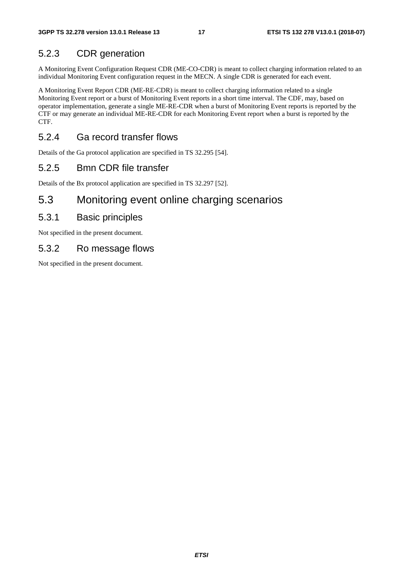# 5.2.3 CDR generation

A Monitoring Event Configuration Request CDR (ME-CO-CDR) is meant to collect charging information related to an individual Monitoring Event configuration request in the MECN. A single CDR is generated for each event.

A Monitoring Event Report CDR (ME-RE-CDR) is meant to collect charging information related to a single Monitoring Event report or a burst of Monitoring Event reports in a short time interval. The CDF, may, based on operator implementation, generate a single ME-RE-CDR when a burst of Monitoring Event reports is reported by the CTF or may generate an individual ME-RE-CDR for each Monitoring Event report when a burst is reported by the CTF.

### 5.2.4 Ga record transfer flows

Details of the Ga protocol application are specified in TS 32.295 [54].

### 5.2.5 Bmn CDR file transfer

Details of the Bx protocol application are specified in TS 32.297 [52].

# 5.3 Monitoring event online charging scenarios

#### 5.3.1 Basic principles

Not specified in the present document.

### 5.3.2 Ro message flows

Not specified in the present document.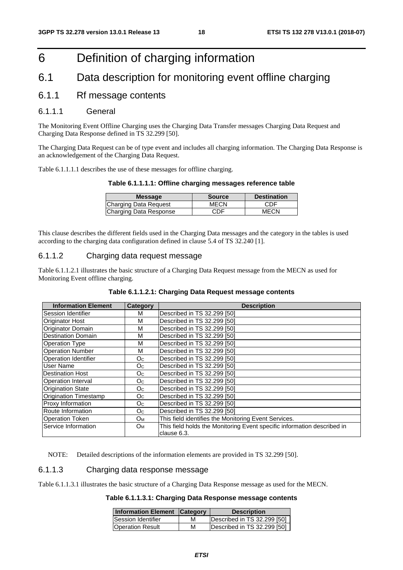# 6 Definition of charging information

# 6.1 Data description for monitoring event offline charging

#### 6.1.1 Rf message contents

#### 6.1.1.1 General

The Monitoring Event Offline Charging uses the Charging Data Transfer messages Charging Data Request and Charging Data Response defined in TS 32.299 [50].

The Charging Data Request can be of type event and includes all charging information. The Charging Data Response is an acknowledgement of the Charging Data Request.

Table 6.1.1.1.1 describes the use of these messages for offline charging.

#### **Table 6.1.1.1.1: Offline charging messages reference table**

| <b>Message</b>         | <b>Source</b> | <b>Destination</b> |
|------------------------|---------------|--------------------|
| Charging Data Request  | MECN          | CDF                |
| Charging Data Response | CDF           | MECN               |

This clause describes the different fields used in the Charging Data messages and the category in the tables is used according to the charging data configuration defined in clause 5.4 of TS 32.240 [1].

#### 6.1.1.2 Charging data request message

Table 6.1.1.2.1 illustrates the basic structure of a Charging Data Request message from the MECN as used for Monitoring Event offline charging.

| <b>Information Element</b>   | Category       | <b>Description</b>                                                                     |  |  |
|------------------------------|----------------|----------------------------------------------------------------------------------------|--|--|
| Session Identifier           | м              | Described in TS 32.299 [50]                                                            |  |  |
| Originator Host              | м              | Described in TS 32.299 [50]                                                            |  |  |
| Originator Domain            | м              | Described in TS 32.299 [50]                                                            |  |  |
| <b>Destination Domain</b>    | м              | Described in TS 32.299 [50]                                                            |  |  |
| Operation Type               | м              | Described in TS 32.299 [50]                                                            |  |  |
| <b>Operation Number</b>      | м              | Described in TS 32.299 [50]                                                            |  |  |
| Operation Identifier         | O <sub>C</sub> | Described in TS 32.299 [50]                                                            |  |  |
| User Name                    | Oc.            | Described in TS 32.299 [50]                                                            |  |  |
| <b>Destination Host</b>      | O <sub>C</sub> | Described in TS 32.299 [50]                                                            |  |  |
| Operation Interval           | O <sub>C</sub> | Described in TS 32.299 [50]                                                            |  |  |
| <b>Origination State</b>     | O <sub>C</sub> | Described in TS 32.299 [50]                                                            |  |  |
| <b>Origination Timestamp</b> | O <sub>C</sub> | Described in TS 32.299 [50]                                                            |  |  |
| Proxy Information            | O <sub>C</sub> | Described in TS 32.299 [50]                                                            |  |  |
| Route Information            | O <sub>C</sub> | Described in TS 32.299 [50]                                                            |  |  |
| <b>Operation Token</b>       | $O_{M}$        | This field identifies the Monitoring Event Services.                                   |  |  |
| Service Information          | Oм             | This field holds the Monitoring Event specific information described in<br>clause 6.3. |  |  |

NOTE: Detailed descriptions of the information elements are provided in TS 32.299 [50].

#### 6.1.1.3 Charging data response message

Table 6.1.1.3.1 illustrates the basic structure of a Charging Data Response message as used for the MECN.

#### **Table 6.1.1.3.1: Charging Data Response message contents**

| Information Element Category |   | <b>Description</b>          |
|------------------------------|---|-----------------------------|
| Session Identifier           | м | Described in TS 32.299 [50] |
| <b>Operation Result</b>      | м | Described in TS 32.299 [50] |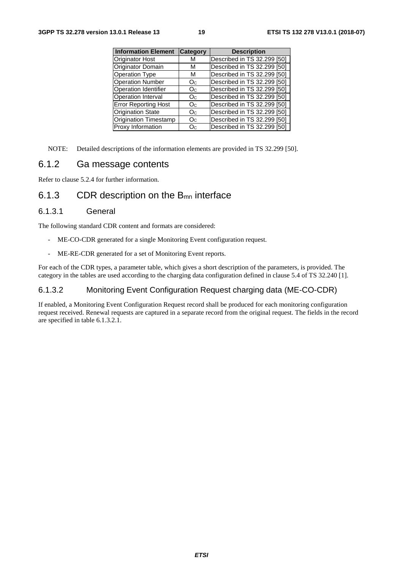| <b>Information Element</b>   | <b>Category</b> | <b>Description</b>          |
|------------------------------|-----------------|-----------------------------|
| <b>Originator Host</b>       | М               | Described in TS 32.299 [50] |
| Originator Domain            | м               | Described in TS 32.299 [50] |
| <b>Operation Type</b>        | м               | Described in TS 32.299 [50] |
| <b>Operation Number</b>      | O <sub>C</sub>  | Described in TS 32.299 [50] |
| <b>Operation Identifier</b>  | Oc              | Described in TS 32.299 [50] |
| Operation Interval           | Oc              | Described in TS 32.299 [50] |
| <b>Error Reporting Host</b>  | Oc              | Described in TS 32.299 [50] |
| <b>Origination State</b>     | Oc              | Described in TS 32.299 [50] |
| <b>Origination Timestamp</b> | O <sub>C</sub>  | Described in TS 32.299 [50] |
| Proxy Information            | Oc              | Described in TS 32.299 [50] |

NOTE: Detailed descriptions of the information elements are provided in TS 32.299 [50].

#### 6.1.2 Ga message contents

Refer to clause 5.2.4 for further information.

### 6.1.3 CDR description on the  $B_{mn}$  interface

#### 6.1.3.1 General

The following standard CDR content and formats are considered:

- ME-CO-CDR generated for a single Monitoring Event configuration request.
- ME-RE-CDR generated for a set of Monitoring Event reports.

For each of the CDR types, a parameter table, which gives a short description of the parameters, is provided. The category in the tables are used according to the charging data configuration defined in clause 5.4 of TS 32.240 [1].

#### 6.1.3.2 Monitoring Event Configuration Request charging data (ME-CO-CDR)

If enabled, a Monitoring Event Configuration Request record shall be produced for each monitoring configuration request received. Renewal requests are captured in a separate record from the original request. The fields in the record are specified in table 6.1.3.2.1.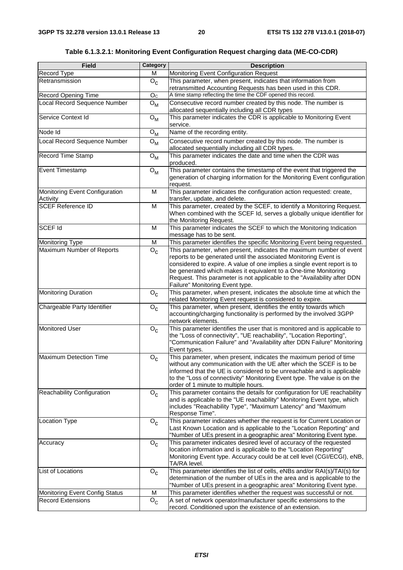**Table 6.1.3.2.1: Monitoring Event Configuration Request charging data (ME-CO-CDR)** 

| <b>Field</b>                               | Category                                                                                                                                                                                                                                                                           | <b>Description</b>                                                                                                                                                                                                                                                                                                                                                                                    |  |  |  |  |
|--------------------------------------------|------------------------------------------------------------------------------------------------------------------------------------------------------------------------------------------------------------------------------------------------------------------------------------|-------------------------------------------------------------------------------------------------------------------------------------------------------------------------------------------------------------------------------------------------------------------------------------------------------------------------------------------------------------------------------------------------------|--|--|--|--|
| <b>Record Type</b>                         | M                                                                                                                                                                                                                                                                                  | Monitoring Event Configuration Request                                                                                                                                                                                                                                                                                                                                                                |  |  |  |  |
| Retransmission                             | $O_{C}$                                                                                                                                                                                                                                                                            | This parameter, when present, indicates that information from                                                                                                                                                                                                                                                                                                                                         |  |  |  |  |
|                                            |                                                                                                                                                                                                                                                                                    | retransmitted Accounting Requests has been used in this CDR.                                                                                                                                                                                                                                                                                                                                          |  |  |  |  |
| <b>Record Opening Time</b>                 | O <sub>C</sub>                                                                                                                                                                                                                                                                     | A time stamp reflecting the time the CDF opened this record.                                                                                                                                                                                                                                                                                                                                          |  |  |  |  |
| Local Record Sequence Number               | $O_{M}$                                                                                                                                                                                                                                                                            | Consecutive record number created by this node. The number is<br>allocated sequentially including all CDR types                                                                                                                                                                                                                                                                                       |  |  |  |  |
| Service Context Id                         | $O_{M}$                                                                                                                                                                                                                                                                            | This parameter indicates the CDR is applicable to Monitoring Event<br>service.                                                                                                                                                                                                                                                                                                                        |  |  |  |  |
| Node Id                                    | $O_{M}$                                                                                                                                                                                                                                                                            | Name of the recording entity.                                                                                                                                                                                                                                                                                                                                                                         |  |  |  |  |
| Local Record Sequence Number               | $O_{M}$                                                                                                                                                                                                                                                                            | Consecutive record number created by this node. The number is                                                                                                                                                                                                                                                                                                                                         |  |  |  |  |
|                                            |                                                                                                                                                                                                                                                                                    | allocated sequentially including all CDR types.                                                                                                                                                                                                                                                                                                                                                       |  |  |  |  |
| Record Time Stamp                          | $O_{M}$                                                                                                                                                                                                                                                                            | This parameter indicates the date and time when the CDR was<br>produced.                                                                                                                                                                                                                                                                                                                              |  |  |  |  |
| <b>Event Timestamp</b>                     | $O_{M}$                                                                                                                                                                                                                                                                            | This parameter contains the timestamp of the event that triggered the<br>generation of charging information for the Monitoring Event configuration<br>request.                                                                                                                                                                                                                                        |  |  |  |  |
| Monitoring Event Configuration<br>Activity | M                                                                                                                                                                                                                                                                                  | This parameter indicates the configuration action requested: create,<br>transfer, update, and delete.                                                                                                                                                                                                                                                                                                 |  |  |  |  |
| <b>SCEF Reference ID</b>                   | M                                                                                                                                                                                                                                                                                  | This parameter, created by the SCEF, to identify a Monitoring Request.<br>When combined with the SCEF Id, serves a globally unique identifier for<br>the Monitoring Request.                                                                                                                                                                                                                          |  |  |  |  |
| SCEF <sub>Id</sub>                         | M                                                                                                                                                                                                                                                                                  | This parameter indicates the SCEF to which the Monitoring Indication<br>message has to be sent.                                                                                                                                                                                                                                                                                                       |  |  |  |  |
| <b>Monitoring Type</b>                     | M                                                                                                                                                                                                                                                                                  | This parameter identifies the specific Monitoring Event being requested.                                                                                                                                                                                                                                                                                                                              |  |  |  |  |
| Maximum Number of Reports                  | $O_{\rm C}$                                                                                                                                                                                                                                                                        | This parameter, when present, indicates the maximum number of event<br>reports to be generated until the associated Monitoring Event is<br>considered to expire. A value of one implies a single event report is to<br>be generated which makes it equivalent to a One-time Monitoring<br>Request. This parameter is not applicable to the "Availability after DDN<br>Failure" Monitoring Event type. |  |  |  |  |
| <b>Monitoring Duration</b>                 | $\mathsf{o}_{\mathsf{c}}$                                                                                                                                                                                                                                                          | This parameter, when present, indicates the absolute time at which the<br>related Monitoring Event request is considered to expire.                                                                                                                                                                                                                                                                   |  |  |  |  |
| Chargeable Party Identifier                | $O_{\rm C}$                                                                                                                                                                                                                                                                        | This parameter, when present, identifies the entity towards which<br>accounting/charging functionality is performed by the involved 3GPP<br>network elements.                                                                                                                                                                                                                                         |  |  |  |  |
| <b>Monitored User</b>                      | This parameter identifies the user that is monitored and is applicable to<br>$\overline{\mathsf{O}}_\mathsf{C}$<br>the "Loss of connectivity", "UE reachability", "Location Reporting",<br>"Communication Failure" and "Availability after DDN Failure" Monitoring<br>Event types. |                                                                                                                                                                                                                                                                                                                                                                                                       |  |  |  |  |
| <b>Maximum Detection Time</b>              | $O_{\rm C}$                                                                                                                                                                                                                                                                        | This parameter, when present, indicates the maximum period of time<br>without any communication with the UE after which the SCEF is to be<br>informed that the UE is considered to be unreachable and is applicable<br>to the "Loss of connectivity" Monitoring Event type. The value is on the<br>order of 1 minute to multiple hours.                                                               |  |  |  |  |
| Reachability Configuration                 | $O_{C}$                                                                                                                                                                                                                                                                            | This parameter contains the details for configuration for UE reachability<br>and is applicable to the "UE reachability" Monitoring Event type, which<br>includes "Reachability Type", "Maximum Latency" and "Maximum<br>Response Time".                                                                                                                                                               |  |  |  |  |
| Location Type                              | $O_{C}$                                                                                                                                                                                                                                                                            | This parameter indicates whether the request is for Current Location or<br>Last Known Location and is applicable to the "Location Reporting" and<br>"Number of UEs present in a geographic area" Monitoring Event type.                                                                                                                                                                               |  |  |  |  |
| Accuracy                                   | $O_{\rm c}$                                                                                                                                                                                                                                                                        | This parameter indicates desired level of accuracy of the requested<br>location information and is applicable to the "Location Reporting"<br>Monitoring Event type. Accuracy could be at cell level (CGI/ECGI), eNB,<br>TA/RA level.                                                                                                                                                                  |  |  |  |  |
| List of Locations                          | $O_{\rm C}$                                                                                                                                                                                                                                                                        | This parameter identifies the list of cells, eNBs and/or RAI(s)/TAI(s) for<br>determination of the number of UEs in the area and is applicable to the<br>"Number of UEs present in a geographic area" Monitoring Event type.                                                                                                                                                                          |  |  |  |  |
| <b>Monitoring Event Config Status</b>      | M                                                                                                                                                                                                                                                                                  | This parameter identifies whether the request was successful or not.                                                                                                                                                                                                                                                                                                                                  |  |  |  |  |
| <b>Record Extensions</b>                   | $O_{C}$                                                                                                                                                                                                                                                                            | A set of network operator/manufacturer specific extensions to the<br>record. Conditioned upon the existence of an extension.                                                                                                                                                                                                                                                                          |  |  |  |  |
|                                            |                                                                                                                                                                                                                                                                                    |                                                                                                                                                                                                                                                                                                                                                                                                       |  |  |  |  |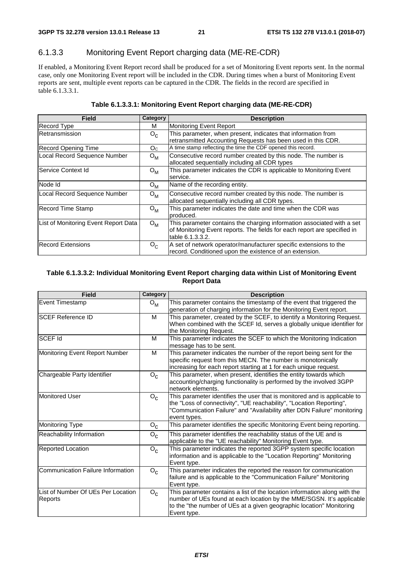# 6.1.3.3 Monitoring Event Report charging data (ME-RE-CDR)

If enabled, a Monitoring Event Report record shall be produced for a set of Monitoring Event reports sent. In the normal case, only one Monitoring Event report will be included in the CDR. During times when a burst of Monitoring Event reports are sent, multiple event reports can be captured in the CDR. The fields in the record are specified in table 6.1.3.3.1.

| <b>Field</b>                         | Category         | <b>Description</b>                                                                                                                                                     |
|--------------------------------------|------------------|------------------------------------------------------------------------------------------------------------------------------------------------------------------------|
| <b>Record Type</b>                   | М                | <b>Monitoring Event Report</b>                                                                                                                                         |
| IRetransmission                      | $O_{C}$          | This parameter, when present, indicates that information from<br>retransmitted Accounting Requests has been used in this CDR.                                          |
| <b>Record Opening Time</b>           | O <sub>C</sub>   | A time stamp reflecting the time the CDF opened this record.                                                                                                           |
| Local Record Sequence Number         | $O_{M}$          | Consecutive record number created by this node. The number is<br>allocated sequentially including all CDR types                                                        |
| Service Context Id                   | $O_{M}$          | This parameter indicates the CDR is applicable to Monitoring Event<br>service.                                                                                         |
| Node Id                              | $O_{M}$          | Name of the recording entity.                                                                                                                                          |
| Local Record Sequence Number         | $O_{M}$          | Consecutive record number created by this node. The number is<br>allocated sequentially including all CDR types.                                                       |
| <b>Record Time Stamp</b>             | $O_{\mathsf{M}}$ | This parameter indicates the date and time when the CDR was<br>produced.                                                                                               |
| List of Monitoring Event Report Data | $O_{M}$          | This parameter contains the charging information associated with a set<br>of Monitoring Event reports. The fields for each report are specified in<br>table 6.1.3.3.2. |
| <b>Record Extensions</b>             | $O_{C}$          | A set of network operator/manufacturer specific extensions to the<br>record. Conditioned upon the existence of an extension.                                           |

#### **Table 6.1.3.3.2: Individual Monitoring Event Report charging data within List of Monitoring Event Report Data**

| <b>Field</b>                                  | Category | <b>Description</b>                                                                                                                                                                                                                           |  |  |  |  |
|-----------------------------------------------|----------|----------------------------------------------------------------------------------------------------------------------------------------------------------------------------------------------------------------------------------------------|--|--|--|--|
| <b>Event Timestamp</b>                        | $O_{M}$  | This parameter contains the timestamp of the event that triggered the<br>generation of charging information for the Monitoring Event report.                                                                                                 |  |  |  |  |
| <b>SCEF Reference ID</b>                      | м        | This parameter, created by the SCEF, to identify a Monitoring Request.<br>When combined with the SCEF Id, serves a globally unique identifier for<br>the Monitoring Request.                                                                 |  |  |  |  |
| <b>SCEF Id</b>                                | м        | This parameter indicates the SCEF to which the Monitoring Indication<br>message has to be sent.                                                                                                                                              |  |  |  |  |
| Monitoring Event Report Number                | м        | This parameter indicates the number of the report being sent for the<br>specific request from this MECN. The number is monotonically<br>increasing for each report starting at 1 for each unique request.                                    |  |  |  |  |
| Chargeable Party Identifier                   | $O_{C}$  | This parameter, when present, identifies the entity towards which<br>accounting/charging functionality is performed by the involved 3GPP<br>network elements.                                                                                |  |  |  |  |
| Monitored User                                | $O_{C}$  | This parameter identifies the user that is monitored and is applicable to<br>the "Loss of connectivity", "UE reachability", "Location Reporting",<br>"Communication Failure" and "Availability after DDN Failure" monitoring<br>event types. |  |  |  |  |
| Monitoring Type                               | $O_{C}$  | This parameter identifies the specific Monitoring Event being reporting.                                                                                                                                                                     |  |  |  |  |
| Reachability Information                      | $O_{C}$  | This parameter identifies the reachability status of the UE and is<br>applicable to the "UE reachability" Monitoring Event type.                                                                                                             |  |  |  |  |
| <b>Reported Location</b>                      | $O_{C}$  | This parameter indicates the reported 3GPP system specific location<br>information and is applicable to the "Location Reporting" Monitoring<br>Event type.                                                                                   |  |  |  |  |
| Communication Failure Information             | $O_{c}$  | This parameter indicates the reported the reason for communication<br>failure and is applicable to the "Communication Failure" Monitoring<br>Event type.                                                                                     |  |  |  |  |
| List of Number Of UEs Per Location<br>Reports | $O_{C}$  | This parameter contains a list of the location information along with the<br>number of UEs found at each location by the MME/SGSN. It's applicable<br>to the "the number of UEs at a given geographic location" Monitoring<br>Event type.    |  |  |  |  |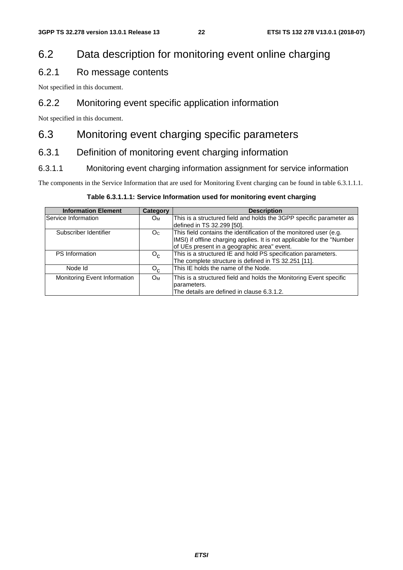# 6.2 Data description for monitoring event online charging

# 6.2.1 Ro message contents

Not specified in this document.

# 6.2.2 Monitoring event specific application information

Not specified in this document.

# 6.3 Monitoring event charging specific parameters

# 6.3.1 Definition of monitoring event charging information

#### 6.3.1.1 Monitoring event charging information assignment for service information

The components in the Service Information that are used for Monitoring Event charging can be found in table 6.3.1.1.1.

#### **Table 6.3.1.1.1: Service Information used for monitoring event charging**

| <b>Information Element</b>   | <b>Category</b>       | <b>Description</b>                                                      |  |  |  |
|------------------------------|-----------------------|-------------------------------------------------------------------------|--|--|--|
| Service Information          | Oм                    | This is a structured field and holds the 3GPP specific parameter as     |  |  |  |
|                              |                       | defined in TS 32.299 [50].                                              |  |  |  |
| Subscriber Identifier        | O <sub>C</sub>        | This field contains the identification of the monitored user (e.g.      |  |  |  |
|                              |                       | IMSI) if offline charging applies. It is not applicable for the "Number |  |  |  |
|                              |                       | of UEs present in a geographic area" event.                             |  |  |  |
| <b>PS</b> Information        | $O_{C}$               | This is a structured IE and hold PS specification parameters.           |  |  |  |
|                              |                       | The complete structure is defined in TS 32.251 [11].                    |  |  |  |
| Node Id                      | $O_{C}$               | This IE holds the name of the Node.                                     |  |  |  |
| Monitoring Event Information | <b>O</b> <sub>M</sub> | This is a structured field and holds the Monitoring Event specific      |  |  |  |
|                              |                       | parameters.                                                             |  |  |  |
|                              |                       | The details are defined in clause 6.3.1.2.                              |  |  |  |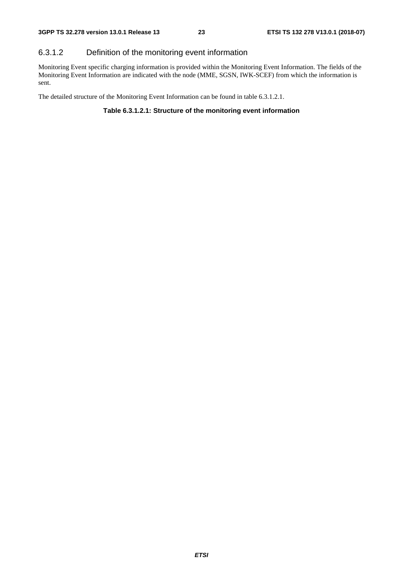### 6.3.1.2 Definition of the monitoring event information

Monitoring Event specific charging information is provided within the Monitoring Event Information. The fields of the Monitoring Event Information are indicated with the node (MME, SGSN, IWK-SCEF) from which the information is sent.

The detailed structure of the Monitoring Event Information can be found in table 6.3.1.2.1.

#### **Table 6.3.1.2.1: Structure of the monitoring event information**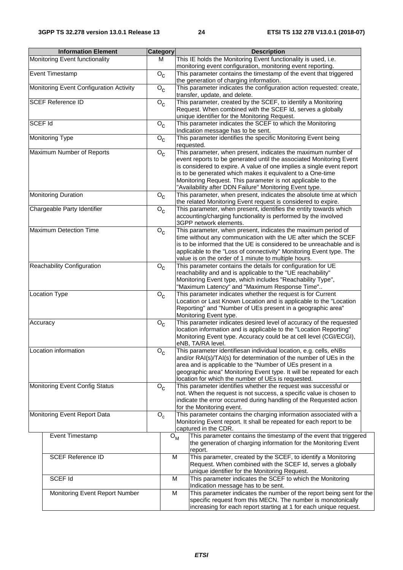| <b>Information Element</b>              | Category                  | <b>Description</b>                                                                                                                                                                                                                                                                                                                                                                                    |  |  |
|-----------------------------------------|---------------------------|-------------------------------------------------------------------------------------------------------------------------------------------------------------------------------------------------------------------------------------------------------------------------------------------------------------------------------------------------------------------------------------------------------|--|--|
| Monitoring Event functionality          | M                         | This IE holds the Monitoring Event functionality is used, i.e.                                                                                                                                                                                                                                                                                                                                        |  |  |
| <b>Event Timestamp</b>                  | $O_{c}$                   | monitoring event configuration, monitoring event reporting.<br>This parameter contains the timestamp of the event that triggered                                                                                                                                                                                                                                                                      |  |  |
| Monitoring Event Configuration Activity | $O_{C}$                   | the generation of charging information.<br>This parameter indicates the configuration action requested: create,<br>transfer, update, and delete.                                                                                                                                                                                                                                                      |  |  |
| <b>SCEF Reference ID</b>                | $O_{\rm C}$               | This parameter, created by the SCEF, to identify a Monitoring                                                                                                                                                                                                                                                                                                                                         |  |  |
|                                         |                           | Request. When combined with the SCEF Id, serves a globally<br>unique identifier for the Monitoring Request.                                                                                                                                                                                                                                                                                           |  |  |
| <b>SCEF Id</b>                          | $O_{C}$                   | This parameter indicates the SCEF to which the Monitoring<br>Indication message has to be sent.                                                                                                                                                                                                                                                                                                       |  |  |
| <b>Monitoring Type</b>                  | $O_{C}$                   | This parameter identifies the specific Monitoring Event being<br>requested.                                                                                                                                                                                                                                                                                                                           |  |  |
| Maximum Number of Reports               | $O_{C}$                   | This parameter, when present, indicates the maximum number of<br>event reports to be generated until the associated Monitoring Event<br>is considered to expire. A value of one implies a single event report<br>is to be generated which makes it equivalent to a One-time<br>Monitoring Request. This parameter is not applicable to the<br>"Availability after DDN Failure" Monitoring Event type. |  |  |
| <b>Monitoring Duration</b>              | $O_{C}$                   | This parameter, when present, indicates the absolute time at which<br>the related Monitoring Event request is considered to expire.                                                                                                                                                                                                                                                                   |  |  |
| Chargeable Party Identifier             | $O_{C}$                   | This parameter, when present, identifies the entity towards which<br>accounting/charging functionality is performed by the involved<br>3GPP network elements.                                                                                                                                                                                                                                         |  |  |
| Maximum Detection Time                  | $O_{\rm C}$               | This parameter, when present, indicates the maximum period of<br>time without any communication with the UE after which the SCEF<br>is to be informed that the UE is considered to be unreachable and is<br>applicable to the "Loss of connectivity" Monitoring Event type. The<br>value is on the order of 1 minute to multiple hours.                                                               |  |  |
| Reachability Configuration              | $O_{\rm C}$               | This parameter contains the details for configuration for UE<br>reachability and and is applicable to the "UE reachability"<br>Monitoring Event type, which includes "Reachability Type",<br>'Maximum Latency" and "Maximum Response Time"                                                                                                                                                            |  |  |
| <b>Location Type</b>                    | $O_{C}$                   | This parameter indicates whether the request is for Current<br>Location or Last Known Location and is applicable to the "Location<br>Reporting" and "Number of UEs present in a geographic area"<br>Monitoring Event type.                                                                                                                                                                            |  |  |
| Accuracy                                | $O_{C}$                   | This parameter indicates desired level of accuracy of the requested<br>location information and is applicable to the "Location Reporting"<br>Monitoring Event type. Accuracy could be at cell level (CGI/ECGI),<br>eNB, TA/RA level.                                                                                                                                                                  |  |  |
| Location information                    | $O_{\rm C}$               | This parameter identifiesan individual location, e.g. cells, eNBs<br>and/or RAI(s)/TAI(s) for determination of the number of UEs in the<br>area and is applicable to the "Number of UEs present in a<br>geographic area" Monitoring Event type. It will be repeated for each<br>location for which the number of UEs is requested.                                                                    |  |  |
| Monitoring Event Config Status          | $O_{c}$                   | This parameter identifies whether the request was successful or<br>not. When the request is not success, a specific value is chosen to<br>indicate the error occurred during handling of the Requested action<br>for the Monitoring event.                                                                                                                                                            |  |  |
| Monitoring Event Report Data            | $O_c$                     | This parameter contains the charging information associated with a<br>Monitoring Event report. It shall be repeated for each report to be<br>captured in the CDR.                                                                                                                                                                                                                                     |  |  |
| Event Timestamp                         | ${\mathsf O}_{\mathsf M}$ | This parameter contains the timestamp of the event that triggered<br>the generation of charging information for the Monitoring Event<br>report.                                                                                                                                                                                                                                                       |  |  |
| <b>SCEF Reference ID</b>                | M                         | This parameter, created by the SCEF, to identify a Monitoring<br>Request. When combined with the SCEF Id, serves a globally<br>unique identifier for the Monitoring Request.                                                                                                                                                                                                                          |  |  |
| SCEF Id                                 | M                         | This parameter indicates the SCEF to which the Monitoring<br>Indication message has to be sent.                                                                                                                                                                                                                                                                                                       |  |  |
| Monitoring Event Report Number          | M                         | This parameter indicates the number of the report being sent for the<br>specific request from this MECN. The number is monotonically<br>increasing for each report starting at 1 for each unique request.                                                                                                                                                                                             |  |  |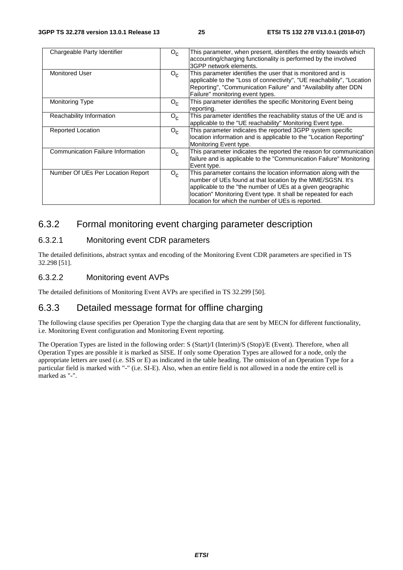| Chargeable Party Identifier              | $O_{C}$ | This parameter, when present, identifies the entity towards which<br>accounting/charging functionality is performed by the involved<br>3GPP network elements.                                                                                                                                                      |
|------------------------------------------|---------|--------------------------------------------------------------------------------------------------------------------------------------------------------------------------------------------------------------------------------------------------------------------------------------------------------------------|
| <b>Monitored User</b>                    | $O_{c}$ | This parameter identifies the user that is monitored and is<br>applicable to the "Loss of connectivity", "UE reachability", "Location<br>Reporting", "Communication Failure" and "Availability after DDN<br>Failure" monitoring event types.                                                                       |
| <b>Monitoring Type</b>                   | $O_{c}$ | This parameter identifies the specific Monitoring Event being<br>reporting.                                                                                                                                                                                                                                        |
| Reachability Information                 | $O_{C}$ | This parameter identifies the reachability status of the UE and is<br>applicable to the "UE reachability" Monitoring Event type.                                                                                                                                                                                   |
| Reported Location                        | $O_{c}$ | This parameter indicates the reported 3GPP system specific<br>location information and is applicable to the "Location Reporting"<br>Monitoring Event type.                                                                                                                                                         |
| <b>Communication Failure Information</b> | $O_{c}$ | This parameter indicates the reported the reason for communication<br>failure and is applicable to the "Communication Failure" Monitoring<br>Event type.                                                                                                                                                           |
| Number Of UEs Per Location Report        | $O_{c}$ | This parameter contains the location information along with the<br>number of UEs found at that location by the MME/SGSN. It's<br>applicable to the "the number of UEs at a given geographic<br>location" Monitoring Event type. It shall be repeated for each<br>location for which the number of UEs is reported. |

# 6.3.2 Formal monitoring event charging parameter description

#### 6.3.2.1 Monitoring event CDR parameters

The detailed definitions, abstract syntax and encoding of the Monitoring Event CDR parameters are specified in TS 32.298 [51].

#### 6.3.2.2 Monitoring event AVPs

The detailed definitions of Monitoring Event AVPs are specified in TS 32.299 [50].

# 6.3.3 Detailed message format for offline charging

The following clause specifies per Operation Type the charging data that are sent by MECN for different functionality, i.e. Monitoring Event configuration and Monitoring Event reporting.

The Operation Types are listed in the following order: S (Start)/I (Interim)/S (Stop)/E (Event). Therefore, when all Operation Types are possible it is marked as SISE. If only some Operation Types are allowed for a node, only the appropriate letters are used (i.e. SIS or E) as indicated in the table heading. The omission of an Operation Type for a particular field is marked with "-" (i.e. SI-E). Also, when an entire field is not allowed in a node the entire cell is marked as "-".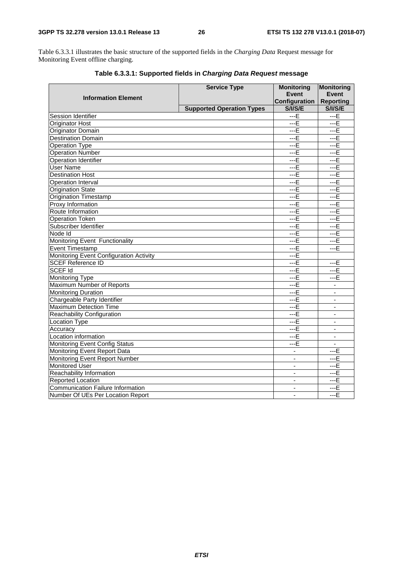Table 6.3.3.1 illustrates the basic structure of the supported fields in the *Charging Data* Request message for Monitoring Event offline charging.

|                                          | <b>Service Type</b>              | <b>Monitoring</b>        | <b>Monitoring</b>        |
|------------------------------------------|----------------------------------|--------------------------|--------------------------|
| <b>Information Element</b>               |                                  | <b>Event</b>             | <b>Event</b>             |
|                                          |                                  | <b>Configuration</b>     | <b>Reporting</b>         |
|                                          | <b>Supported Operation Types</b> | <b>S/I/S/E</b>           | <b>S/I/S/E</b>           |
| Session Identifier                       |                                  | $- E$                    | $- E$                    |
| <b>Originator Host</b>                   |                                  | $- E$                    | $---E$                   |
| Originator Domain                        |                                  | $--E$                    | $- E$                    |
| <b>Destination Domain</b>                | $- E$                            | $-F$                     |                          |
| <b>Operation Type</b>                    | $-F$                             | $- E$                    |                          |
| <b>Operation Number</b>                  | $--E$                            | $--E$                    |                          |
| <b>Operation Identifier</b>              |                                  | $- E$                    | $--E$                    |
| <b>User Name</b>                         |                                  | $- E$                    | $-F$                     |
| <b>Destination Host</b>                  |                                  | $--E$                    | $--E$                    |
| Operation Interval                       |                                  | $--E$                    | $--E$                    |
| Origination State                        |                                  | $--E$                    | $--E$                    |
| Origination Timestamp                    |                                  | $-F$                     | $- E$                    |
| Proxy Information                        |                                  | $- E$                    | $- E$                    |
| Route Information                        |                                  | $- E$                    | $--E$                    |
| <b>Operation Token</b>                   |                                  | $- E$                    | $- -E$                   |
| Subscriber Identifier                    |                                  | $-F$                     | $- E$                    |
| Node Id                                  |                                  | $--E$                    | $--E$                    |
| Monitoring Event Functionality           | $--E$                            | $--E$                    |                          |
| <b>Event Timestamp</b>                   | $- E$                            | $--E$                    |                          |
| Monitoring Event Configuration Activity  | $- E$                            |                          |                          |
| <b>SCEF Reference ID</b>                 |                                  | $- E$                    | ---E                     |
| <b>SCEF Id</b>                           |                                  | $-F$                     | $--E$                    |
| Monitoring Type                          |                                  | $--E$                    | $--E$                    |
| Maximum Number of Reports                |                                  | $- E$                    | $\overline{\phantom{a}}$ |
| <b>Monitoring Duration</b>               |                                  | $--E$                    | $\sim$                   |
| Chargeable Party Identifier              |                                  | $--E$                    | $\blacksquare$           |
| <b>Maximum Detection Time</b>            |                                  | $- E$                    | $\sim$                   |
| Reachability Configuration               |                                  | $- E$                    | $\sim$                   |
| <b>Location Type</b>                     |                                  | $- E$                    | $\blacksquare$           |
| Accuracy                                 |                                  | $- E$                    | $\blacksquare$           |
| Location information                     |                                  | $- E$                    | $\overline{\phantom{a}}$ |
| Monitoring Event Config Status           |                                  | $--E$                    | $\mathbf{r}$             |
| Monitoring Event Report Data             |                                  | $\overline{\phantom{a}}$ | ---E                     |
| Monitoring Event Report Number           |                                  | $\mathbf{r}$             | $- E$                    |
| <b>Monitored User</b>                    |                                  |                          | $-F$                     |
| Reachability Information                 |                                  | $\blacksquare$           | $--E$                    |
| Reported Location                        |                                  | $\overline{\phantom{a}}$ | $--E$                    |
| <b>Communication Failure Information</b> |                                  | $\overline{\phantom{a}}$ | $--E$                    |
| Number Of UEs Per Location Report        |                                  | $-E$                     |                          |

**Table 6.3.3.1: Supported fields in** *Charging Data Request* **message**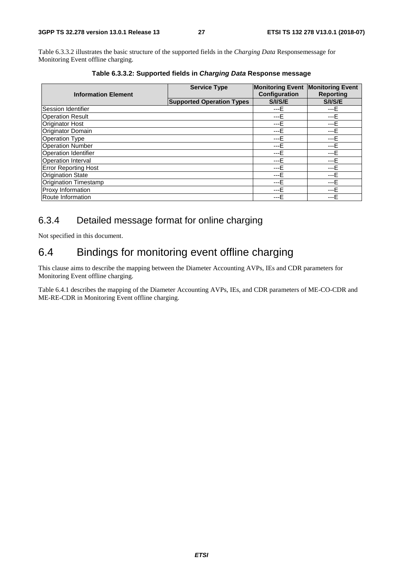Table 6.3.3.2 illustrates the basic structure of the supported fields in the *Charging Data* Responsemessage for Monitoring Event offline charging.

|                              | <b>Service Type</b>              | Monitoring Event Monitoring Event |                  |
|------------------------------|----------------------------------|-----------------------------------|------------------|
| <b>Information Element</b>   |                                  | Configuration                     | <b>Reporting</b> |
|                              | <b>Supported Operation Types</b> | S/I/S/E                           | <b>S/I/S/E</b>   |
| <b>Session Identifier</b>    |                                  | $---E$                            | $---E$           |
| <b>Operation Result</b>      |                                  | ---E                              | $---E$           |
| <b>Originator Host</b>       |                                  | $---E$                            | $---E$           |
| Originator Domain            |                                  | $---E$                            | ---E             |
| <b>Operation Type</b>        |                                  | $---F$                            | ---E             |
| <b>Operation Number</b>      |                                  | $--E$                             | $--E$            |
| Operation Identifier         |                                  | $---E$                            | $---E$           |
| <b>Operation Interval</b>    |                                  | $---F$                            | $---E$           |
| <b>Error Reporting Host</b>  |                                  | $---E$                            | ---E             |
| <b>Origination State</b>     |                                  | $--E$                             | ---E             |
| <b>Origination Timestamp</b> |                                  | ---E                              | $---E$           |
| Proxy Information            |                                  | $--E$                             | $---E$           |
| Route Information            |                                  | ---F                              | $---F$           |

**Table 6.3.3.2: Supported fields in** *Charging Data* **Response message** 

# 6.3.4 Detailed message format for online charging

Not specified in this document.

# 6.4 Bindings for monitoring event offline charging

This clause aims to describe the mapping between the Diameter Accounting AVPs, IEs and CDR parameters for Monitoring Event offline charging.

Table 6.4.1 describes the mapping of the Diameter Accounting AVPs, IEs, and CDR parameters of ME-CO-CDR and ME-RE-CDR in Monitoring Event offline charging.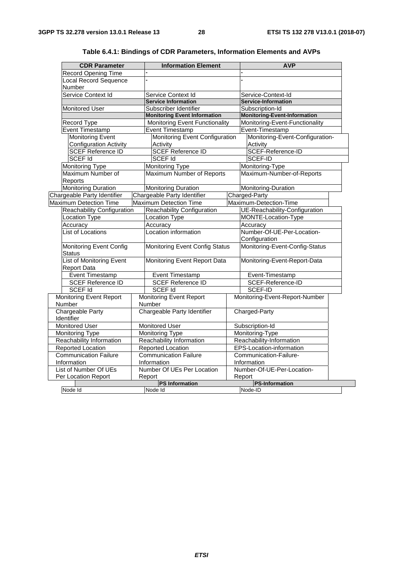| <b>CDR Parameter</b>                                  |                                   | <b>Information Element</b>            |        | <b>AVP</b>                          |  |
|-------------------------------------------------------|-----------------------------------|---------------------------------------|--------|-------------------------------------|--|
| <b>Record Opening Time</b>                            |                                   |                                       |        |                                     |  |
| Local Record Sequence                                 |                                   |                                       |        |                                     |  |
| Number                                                |                                   |                                       |        |                                     |  |
| Service Context Id                                    | Service Context Id                |                                       |        | Service-Context-Id                  |  |
|                                                       | <b>Service Information</b>        |                                       |        | Service-Information                 |  |
| Monitored User                                        | Subscriber Identifier             |                                       |        | Subscription-Id                     |  |
|                                                       |                                   | <b>Monitoring Event Information</b>   |        | <b>Monitoring-Event-Information</b> |  |
| Record Type                                           |                                   | <b>Monitoring Event Functionality</b> |        | Monitoring-Event-Functionality      |  |
| <b>Event Timestamp</b>                                | Event Timestamp                   |                                       |        | Event-Timestamp                     |  |
| <b>Monitoring Event</b>                               |                                   | Monitoring Event Configuration        |        | Monitoring-Event-Configuration-     |  |
| <b>Configuration Activity</b>                         | Activity                          |                                       |        | Activity                            |  |
| <b>SCEF</b> Reference ID                              | SCEF Reference ID                 |                                       |        | SCEF-Reference-ID                   |  |
| <b>SCEF Id</b>                                        | <b>SCEF Id</b>                    |                                       |        | SCEF-ID                             |  |
| Monitoring Type                                       | Monitoring Type                   |                                       |        | Monitoring-Type                     |  |
| Maximum Number of                                     |                                   | Maximum Number of Reports             |        | Maximum-Number-of-Reports           |  |
| Reports                                               |                                   |                                       |        |                                     |  |
| <b>Monitoring Duration</b>                            | <b>Monitoring Duration</b>        |                                       |        | Monitoring-Duration                 |  |
| Chargeable Party Identifier                           | Chargeable Party Identifier       |                                       |        | Charged-Party                       |  |
| <b>Maximum Detection Time</b>                         | <b>Maximum Detection Time</b>     |                                       |        | Maximum-Detection-Time              |  |
| <b>Reachability Configuration</b>                     | Reachability Configuration        |                                       |        | UE-Reachability-Configuration       |  |
| Location Type                                         | Location Type                     |                                       |        | MONTE-Location-Type                 |  |
| Accuracy                                              | Accuracy                          |                                       |        | Accuracy                            |  |
| <b>List of Locations</b>                              | Location information              |                                       |        | Number-Of-UE-Per-Location-          |  |
|                                                       |                                   |                                       |        | Configuration                       |  |
| <b>Monitoring Event Config</b><br>Status              |                                   | <b>Monitoring Event Config Status</b> |        | Monitoring-Event-Config-Status      |  |
| <b>List of Monitoring Event</b><br><b>Report Data</b> |                                   | Monitoring Event Report Data          |        | Monitoring-Event-Report-Data        |  |
| <b>Event Timestamp</b>                                | Event Timestamp                   |                                       |        | Event-Timestamp                     |  |
| <b>SCEF Reference ID</b>                              | <b>SCEF Reference ID</b>          |                                       |        | SCEF-Reference-ID                   |  |
| SCEF Id                                               | <b>SCEF Id</b>                    |                                       |        | SCEF-ID                             |  |
| <b>Monitoring Event Report</b><br>Number              | Monitoring Event Report<br>Number |                                       |        | Monitoring-Event-Report-Number      |  |
| Chargeable Party<br>Identifier                        | Chargeable Party Identifier       |                                       |        | Charged-Party                       |  |
| Monitored User                                        | Monitored User                    |                                       |        | Subscription-Id                     |  |
| Monitoring Type                                       | Monitoring Type                   |                                       |        | Monitoring-Type                     |  |
| Reachability Information                              | Reachability Information          |                                       |        | Reachability-Information            |  |
| Reported Location                                     | Reported Location                 |                                       |        | EPS-Location-information            |  |
| <b>Communication Failure</b>                          | <b>Communication Failure</b>      |                                       |        | Communication-Failure-              |  |
| Information                                           | Information                       |                                       |        | Information                         |  |
| List of Number Of UEs                                 | Number Of UEs Per Location        |                                       |        | Number-Of-UE-Per-Location-          |  |
| Per Location Report                                   | Report                            |                                       | Report |                                     |  |
|                                                       | <b>PS Information</b>             |                                       |        | <b>PS-Information</b>               |  |
| Node Id                                               | Node Id                           |                                       |        | Node-ID                             |  |

**Table 6.4.1: Bindings of CDR Parameters, Information Elements and AVPs**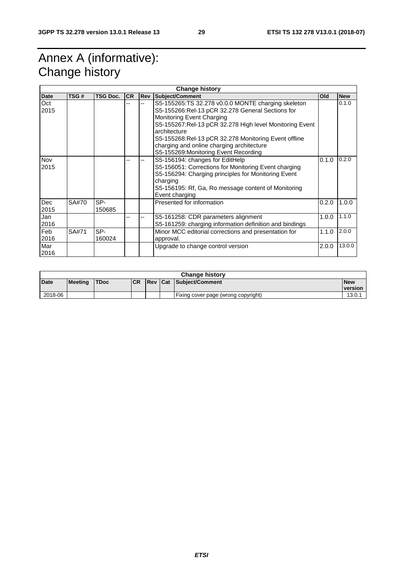# Annex A (informative): Change history

| <b>Change history</b> |       |                 |           |            |                                                                                                                                                                                                                                                                                                                                                              |       |            |  |  |
|-----------------------|-------|-----------------|-----------|------------|--------------------------------------------------------------------------------------------------------------------------------------------------------------------------------------------------------------------------------------------------------------------------------------------------------------------------------------------------------------|-------|------------|--|--|
| <b>Date</b>           | TSG#  | <b>TSG Doc.</b> | <b>CR</b> | <b>Rev</b> | Subject/Comment                                                                                                                                                                                                                                                                                                                                              | Old   | <b>New</b> |  |  |
| Oct<br>2015           |       |                 |           |            | S5-155265:TS 32.278 v0.0.0 MONTE charging skeleton<br>S5-155266:Rel-13 pCR 32.278 General Sections for<br>Monitoring Event Charging<br>S5-155267:Rel-13 pCR 32.278 High level Monitoring Event<br>architecture<br>S5-155268:Rel-13 pCR 32.278 Monitoring Event offline<br>charging and online charging architecture<br>S5-155269: Monitoring Event Recording |       | 0.1.0      |  |  |
| Nov<br>2015           |       |                 |           |            | S5-156194: changes for EditHelp<br>S5-156051: Corrections for Monitoring Event charging<br>S5-156294: Charging principles for Monitoring Event<br>charging<br>S5-156195: Rf, Ga, Ro message content of Monitoring<br>Event charging                                                                                                                          | 0.1.0 | 0.2.0      |  |  |
| Dec<br>2015           | SA#70 | SP-<br>150685   |           |            | Presented for information                                                                                                                                                                                                                                                                                                                                    | 0.2.0 | 1.0.0      |  |  |
| Jan<br>2016           |       |                 |           |            | S5-161258: CDR parameters alignment<br>S5-161259: charging information definition and bindings                                                                                                                                                                                                                                                               | 1.0.0 | 1.1.0      |  |  |
| Feb<br>2016           | SA#71 | SP-<br>160024   |           |            | Minor MCC editorial corrections and presentation for<br>approval.                                                                                                                                                                                                                                                                                            | 1.1.0 | 2.0.0      |  |  |
| Mar<br>2016           |       |                 |           |            | Upgrade to change control version                                                                                                                                                                                                                                                                                                                            | 2.0.0 | 13.0.0     |  |  |

| <b>Change history</b> |                |             |            |  |  |                                     |                       |  |
|-----------------------|----------------|-------------|------------|--|--|-------------------------------------|-----------------------|--|
| Date                  | <b>Meeting</b> | <b>TDoc</b> | <b>ICR</b> |  |  | <b>Rev Cat Subject/Comment</b>      | <b>New</b><br>version |  |
| 2018-06               |                |             |            |  |  | Fixing cover page (wrong copyright) | 13.0.                 |  |